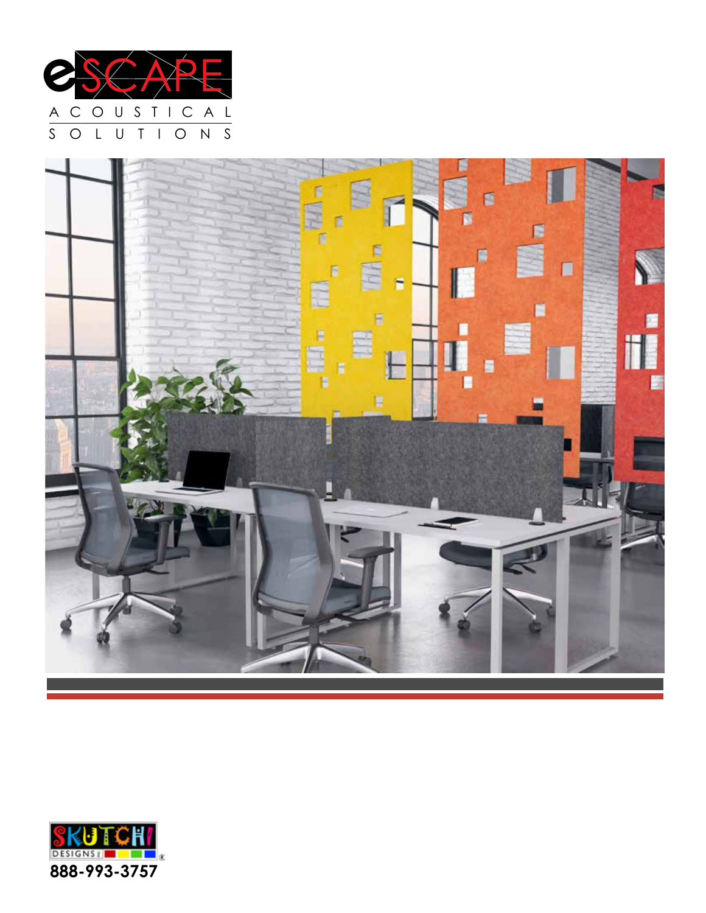



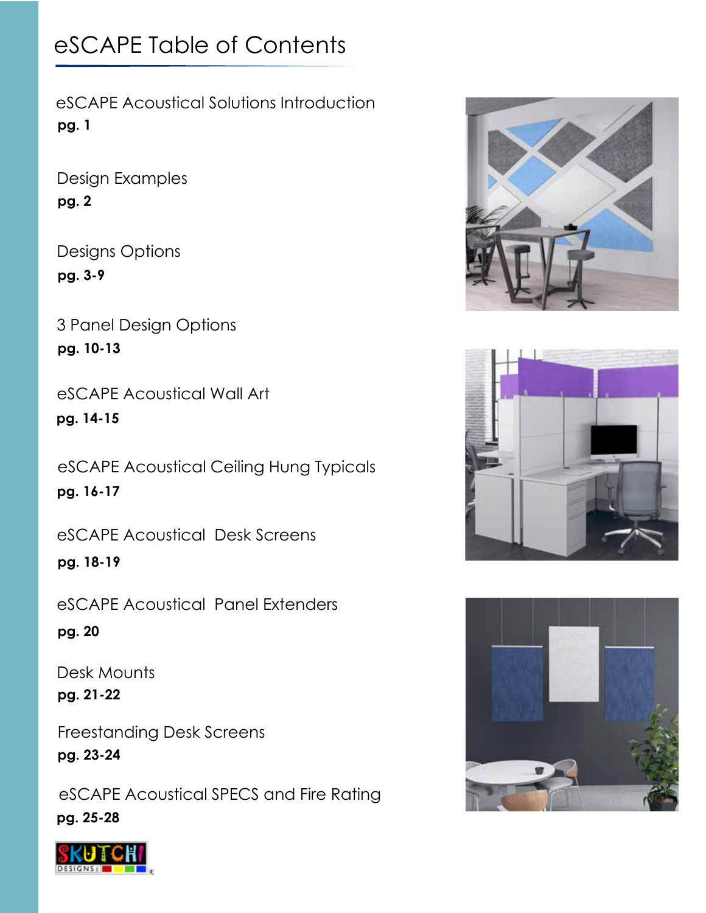# eSCAPE Table of Contents

eSCAPE Acoustical Solutions Introduction **pg. 1**

Design Examples **pg. 2**

Designs Options **pg. 3-9**

3 Panel Design Options **pg. 10-13**

eSCAPE Acoustical Wall Art **pg. 14-15**

eSCAPE Acoustical Ceiling Hung Typicals **pg. 16-17**

eSCAPE Acoustical Desk Screens

**pg. 18-19**

eSCAPE Acoustical Panel Extenders

**pg. 20**

Desk Mounts **pg. 21-22**

Freestanding Desk Screens **pg. 23-24**

eSCAPE Acoustical SPECS and Fire Rating **pg. 25-28**







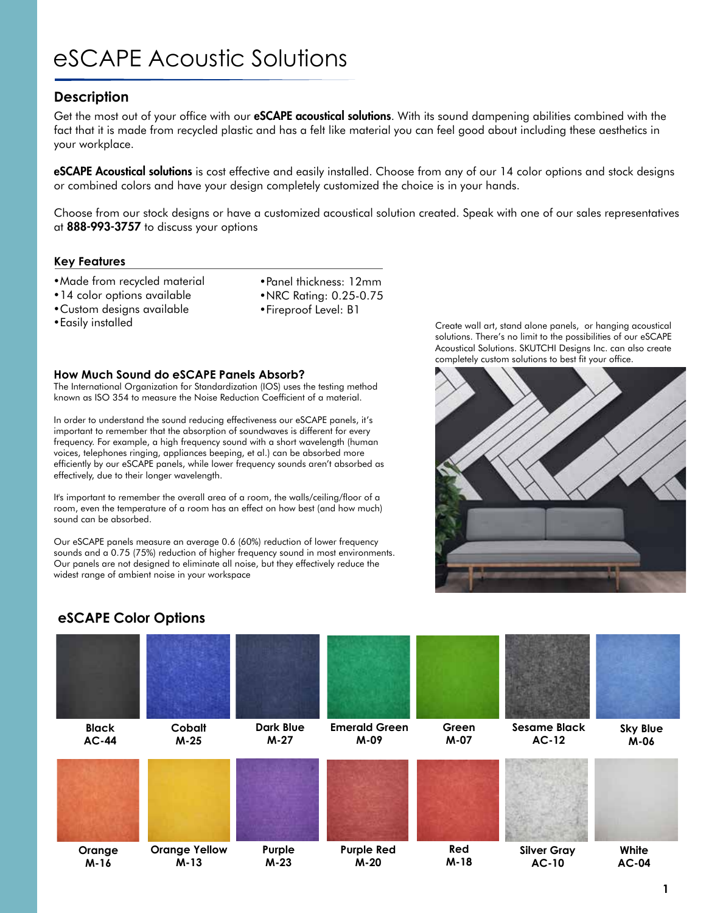# eSCAPE Acoustic Solutions

#### **Description**

Get the most out of your office with our **eSCAPE acoustical solutions**. With its sound dampening abilities combined with the fact that it is made from recycled plastic and has a felt like material you can feel good about including these aesthetics in your workplace.

**eSCAPE Acoustical solutions** is cost effective and easily installed. Choose from any of our 14 color options and stock designs or combined colors and have your design completely customized the choice is in your hands.

Choose from our stock designs or have a customized acoustical solution created. Speak with one of our sales representatives at 888-993-3757 to discuss your options

#### **Key Features**

- •Made from recycled material
- •14 color options available
- •Custom designs available
- 
- •Panel thickness: 12mm •NRC Rating: 0.25-0.75
- •Fireproof Level: B1
- 

#### **How Much Sound do eSCAPE Panels Absorb?**

The International Organization for Standardization (IOS) uses the testing method known as ISO 354 to measure the Noise Reduction Coefficient of a material.

In order to understand the sound reducing effectiveness our eSCAPE panels, it's important to remember that the absorption of soundwaves is different for every frequency. For example, a high frequency sound with a short wavelength (human voices, telephones ringing, appliances beeping, et al.) can be absorbed more efficiently by our eSCAPE panels, while lower frequency sounds aren't absorbed as effectively, due to their longer wavelength.

It's important to remember the overall area of a room, the walls/ceiling/floor of a room, even the temperature of a room has an effect on how best (and how much) sound can be absorbed.

Our eSCAPE panels measure an average 0.6 (60%) reduction of lower frequency sounds and a 0.75 (75%) reduction of higher frequency sound in most environments. Our panels are not designed to eliminate all noise, but they effectively reduce the widest range of ambient noise in your workspace

•Easily installed Create wall art, stand alone panels, or hanging acoustical solutions. There's no limit to the possibilities of our eSCAPE Acoustical Solutions. SKUTCHI Designs Inc. can also create completely custom solutions to best fit your office.



#### **eSCAPE Color Options**

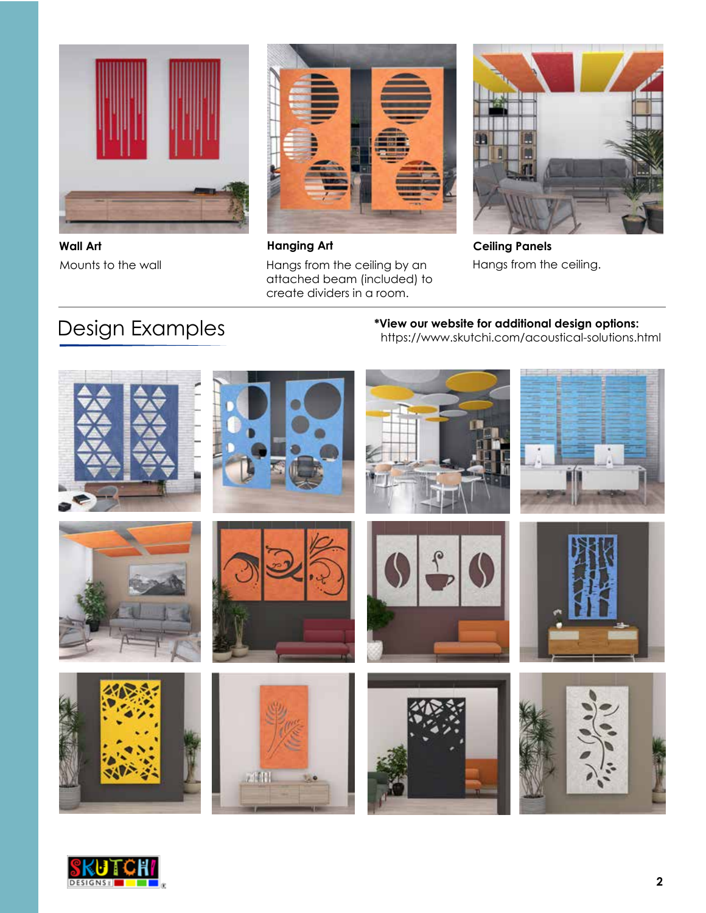

**Wall Art Hanging Art Ceiling Panels**



Mounts to the wall **Hangs from the ceiling by an** attached beam (included) to create dividers in a room.



Hangs from the ceiling.

# Design Examples

**\*View our website for additional design options:** https://www.skutchi.com/acoustical-solutions.html



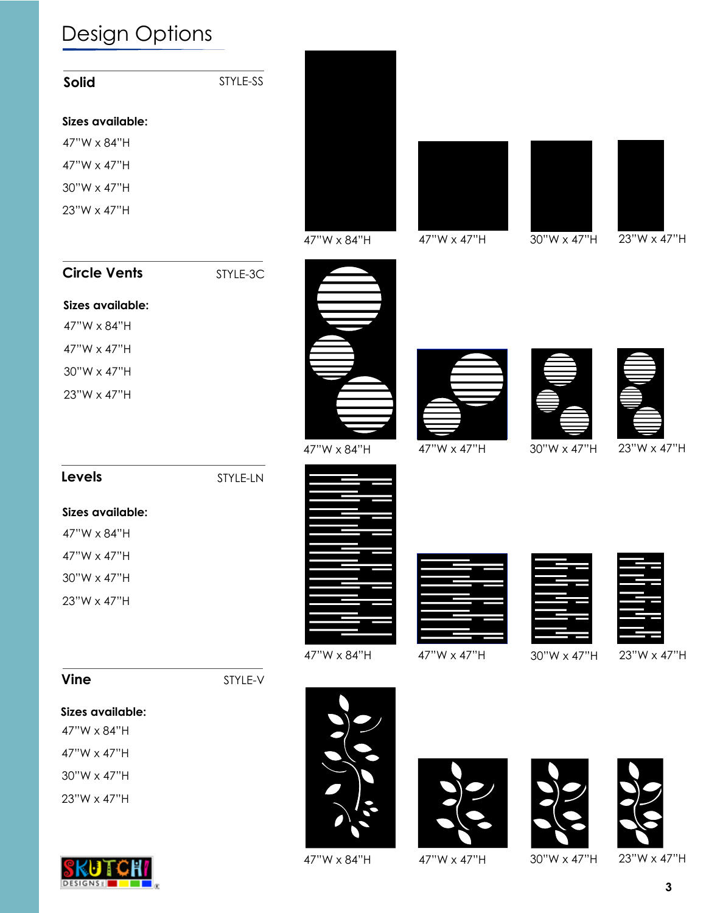| <b>Solid</b>        | STYLE-SS |             |             |             |             |
|---------------------|----------|-------------|-------------|-------------|-------------|
| Sizes available:    |          |             |             |             |             |
| 47"W x 84"H         |          |             |             |             |             |
| 47"W x 47"H         |          |             |             |             |             |
| 30"W x 47"H         |          |             |             |             |             |
| 23"W x 47"H         |          | 47"W x 84"H | 47"W x 47"H | 30"W x 47"H | 23"W x 47"H |
| <b>Circle Vents</b> | STYLE-3C |             |             |             |             |
| Sizes available:    |          |             |             |             |             |
| 47"W x 84"H         |          |             |             |             |             |
| 47"W x 47"H         |          |             |             |             |             |
| 30"W x 47"H         |          |             |             |             |             |
| 23"W x 47"H         |          |             |             |             |             |
| Levels              | STYLE-LN | 47"W x 84"H | 47"W x 47"H | 30"W x 47"H | 23"W x 47"H |
| Sizes available:    |          |             |             |             |             |
| 47"W x 84"H         |          |             |             |             |             |
| 47"W x 47"H         |          |             |             |             |             |
| 30"W x 47"H         |          |             |             |             |             |
| 23"W x 47"H         |          |             |             |             |             |
| <b>Vine</b>         | STYLE-V  | 47"W x 84"H | 47"W x 47"H | 30"W x 47"H | 23"W x 47"H |
| Sizes available:    |          |             |             |             |             |
| 47"W x 84"H         |          |             |             |             |             |
| 47"W x 47"H         |          |             |             |             |             |
| 30"W x 47"H         |          |             |             |             |             |
| 23"W x 47"H         |          |             |             |             |             |



47"W x 84"H 47"W x 47"H 30"W x 47"H 23"W x 47"H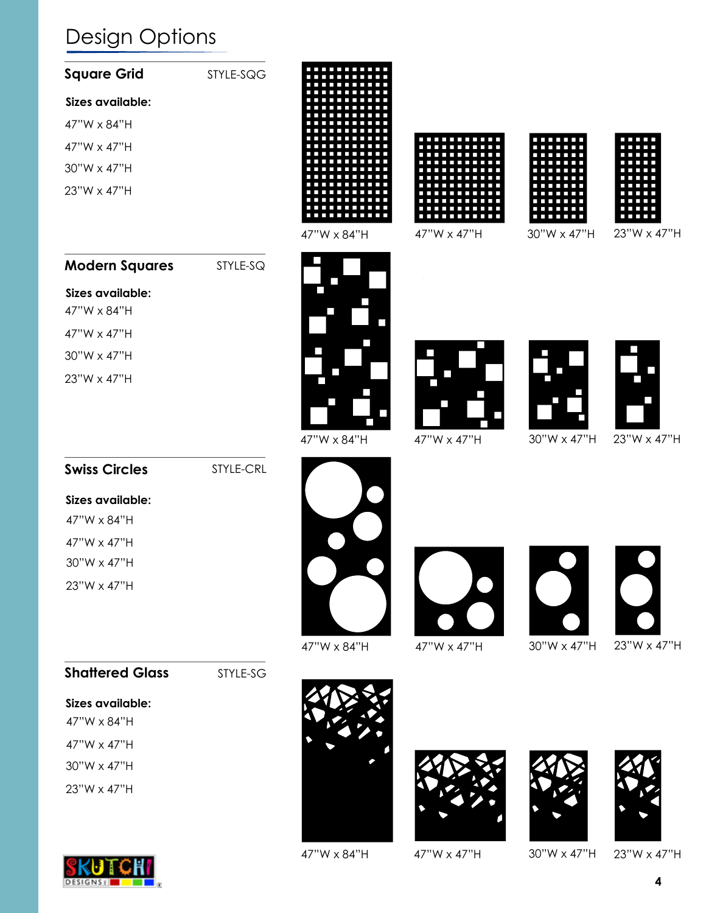| <b>Square Grid</b>              | STYLE-SQG |              |             |             |                          |
|---------------------------------|-----------|--------------|-------------|-------------|--------------------------|
| Sizes available:                |           |              |             |             |                          |
| 47"W x 84"H                     |           |              |             |             |                          |
| 47"W x 47"H                     |           |              |             |             |                          |
| 30"W x 47"H                     |           |              |             |             |                          |
| 23"W x 47"H                     |           | 47"W x 84"H  | 47"W x 47"H | 30"W x 47"H | 23"W x 47"H              |
| <b>Modern Squares</b>           | STYLE-SQ  |              |             |             |                          |
| Sizes available:<br>47"W x 84"H |           | П            |             |             |                          |
| 47"W x 47"H                     |           |              |             |             |                          |
| 30"W x 47"H                     |           | $\mathbf{I}$ |             |             |                          |
| 23"W x 47"H                     |           | Π            |             |             | $\overline{\phantom{a}}$ |
| <b>Swiss Circles</b>            | STYLE-CRL | 47"W x 84"H  | 47"W x 47"H | 30"W x 47"H | 23"W x 47"H              |
| Sizes available:                |           |              |             |             |                          |
| 47"W x 84"H                     |           |              |             |             |                          |
| 47"W x 47"H                     |           |              |             |             |                          |
| 30"W x 47"H                     |           |              |             |             |                          |
| 23"W x 47"H                     |           | 47"W x 84"H  | 47"W x 47"H | 30"W x 47"H | 23"W x 47"H              |
| <b>Shattered Glass</b>          | STYLE-SG  |              |             |             |                          |
| Sizes available:<br>47"W x 84"H |           |              |             |             |                          |
| 47"W x 47"H                     |           |              |             |             |                          |
| 30"W x 47"H                     |           |              |             |             |                          |
| 23"W x 47"H                     |           |              |             |             |                          |



47"W x 84"H 47"W x 47"H 30"W x 47"H 23"W x 47"H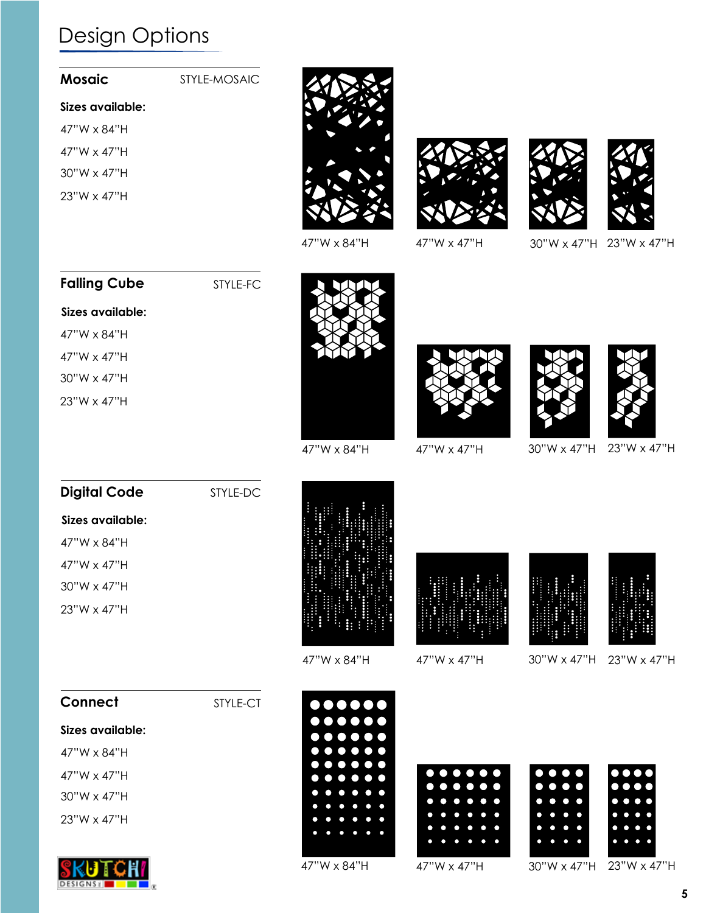| Mosaic |  |
|--------|--|
|        |  |

#### STYLE-MOSAIC

#### **Sizes available:**

47"W x 84"H

- 47"W x 47"H
- 30"W x 47"H
- 23"W x 47"H









47"W x 84"H 47"W x 47"H 30"W x 47"H 23"W x 47"H

### **Falling Cube**

STYLE-FC



47"W x 84"H

47"W x 47"H

30"W x 47"H

23"W x 47"H







47"W x 84"H 47"W x 47"H 30"W x 47"H 23"W x 47"H

| <b>Digital Code</b>  | STYLE-DC |
|----------------------|----------|
| Sizes available:     |          |
| 47"W x 84"H          |          |
| 47"W x 47"H          |          |
| $30''W \times 47''H$ |          |
| $23"W \times 47"H$   |          |
|                      |          |









47"W x 84"H 47"W x 47"H 30"W x 47"H 23"W x 47"H





47"W x 84"H 47"W x 47"H 30"W x 47"H 23"W x 47"H



**Sizes available:**

47"W x 84"H 47"W x 47"H 30"W x 47"H

**Connect**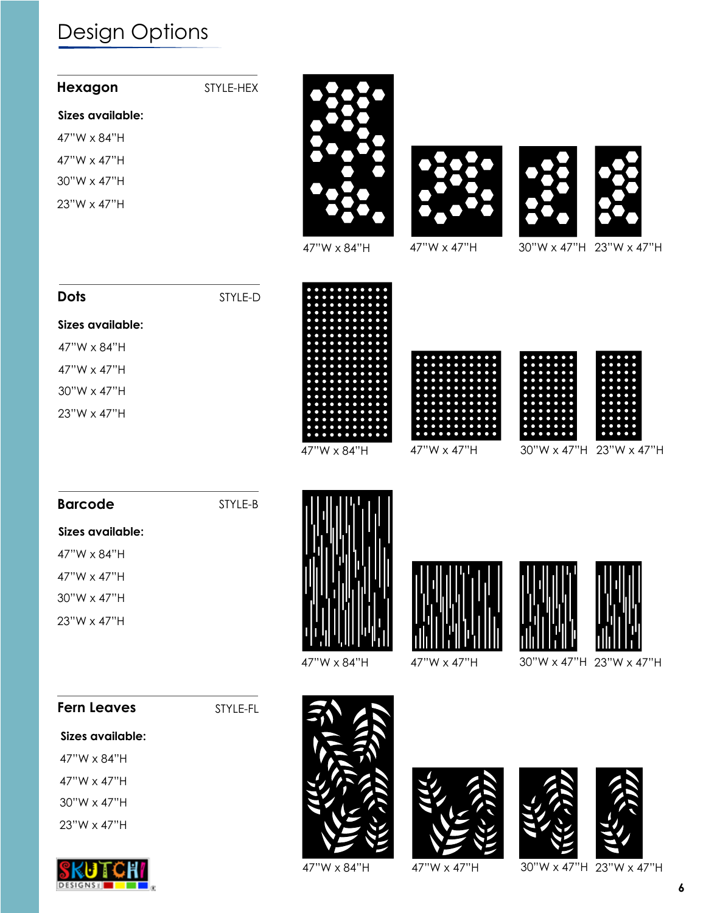| Hexagon            | STYLE-HEX |             |             |                            |
|--------------------|-----------|-------------|-------------|----------------------------|
| Sizes available:   |           |             |             |                            |
| 47"W x 84"H        |           |             |             |                            |
| 47"W x 47"H        |           |             |             |                            |
| 30"W x 47"H        |           |             |             |                            |
| 23"W x 47"H        |           |             |             |                            |
|                    |           | 47"W x 84"H | 47"W x 47"H | 30"W x 47"H 23"W x 47"H    |
| <b>Dots</b>        | STYLE-D   |             |             |                            |
| Sizes available:   |           |             |             |                            |
| 47"W x 84"H        |           |             |             |                            |
| 47"W x 47"H        |           |             |             |                            |
| 30"W x 47"H        |           |             |             |                            |
| 23"W x 47"H        |           | 47"W x 84"H | 47"W x 47"H | 30"W x 47"H<br>23"W x 47"H |
| <b>Barcode</b>     | STYLE-B   |             |             |                            |
| Sizes available:   |           |             |             |                            |
| 47"W x 84"H        |           |             |             |                            |
| 47"W x 47"H        |           |             |             |                            |
| 30"W x 47"H        |           |             |             |                            |
| 23"W x 47"H        |           | 47"W x 84"H | 47"W x 47"H | 30"W x 47"H<br>23"W x 47"H |
| <b>Fern Leaves</b> | STYLE-FL  |             |             |                            |
| Sizes available:   |           |             |             |                            |
| 47"W x 84"H        |           |             |             |                            |
| 47"W x 47"H        |           |             | $\sqrt{2}$  | <b>AN</b><br>ZN            |

- 30"W x 47"H
- 23"W x 47"H



47"W x 84"H 47"W x 47"H 30"W x 47"H 23"W x 47"H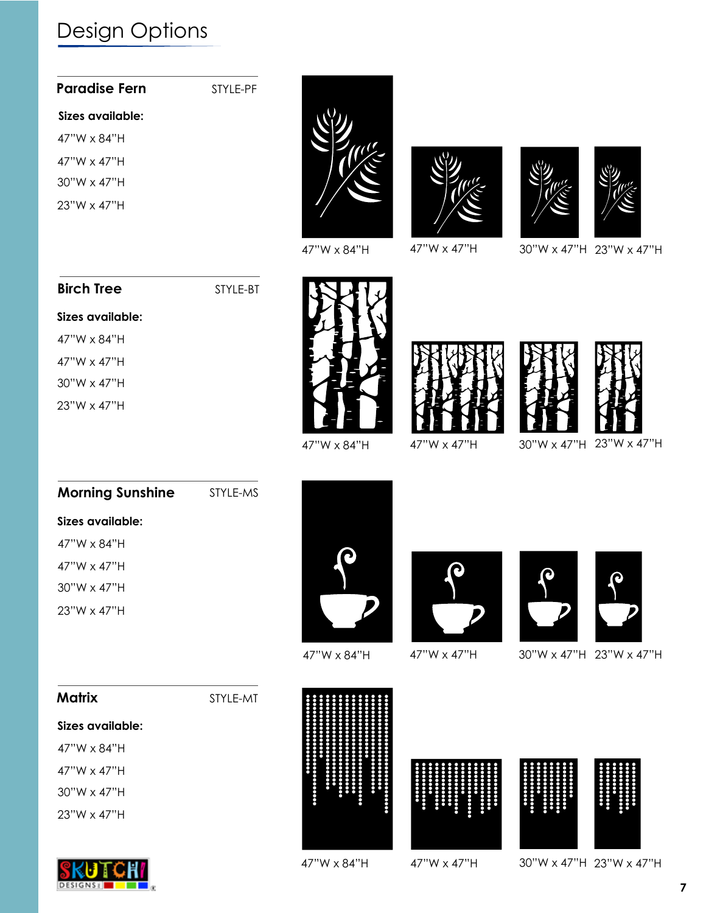| <b>Paradise Fern</b> | STYLE-PF |
|----------------------|----------|
| Sizes available:     |          |
| 47"W $\times$ 84"H   |          |
| $47''W \times 47''H$ |          |
| $30''W \times 47''H$ |          |
| $23"W \times 47"H$   |          |









47"W x 84"H 47"W x 47"H 30"W x 47"H 23"W x 47"H

#### **Birch Tree**

47"W x 84"H 47"W x 47"H 30"W x 47"H 23"W x 47"H

**Sizes available:**

STYLE-BT

STYLE-MS









47"W x 84"H 47"W x 47"H 30"W x 47"H 23"W x 47"H

| Sizes available:   |  |
|--------------------|--|
| 47"W x 84"H        |  |
| 47"W $\times$ 47"H |  |

**Morning Sunshine**

30"W x 47"H 23"W x 47"H





47"W x 84"H 47"W x 47"H 30"W x 47"H 23"W x 47"H



**Sizes available: Matrix**

47"W x 84"H

47"W x 47"H

30"W x 47"H

23"W x 47"H









**7**

47"W x 84"H 47"W x 47"H 30"W x 47"H 23"W x 47"H

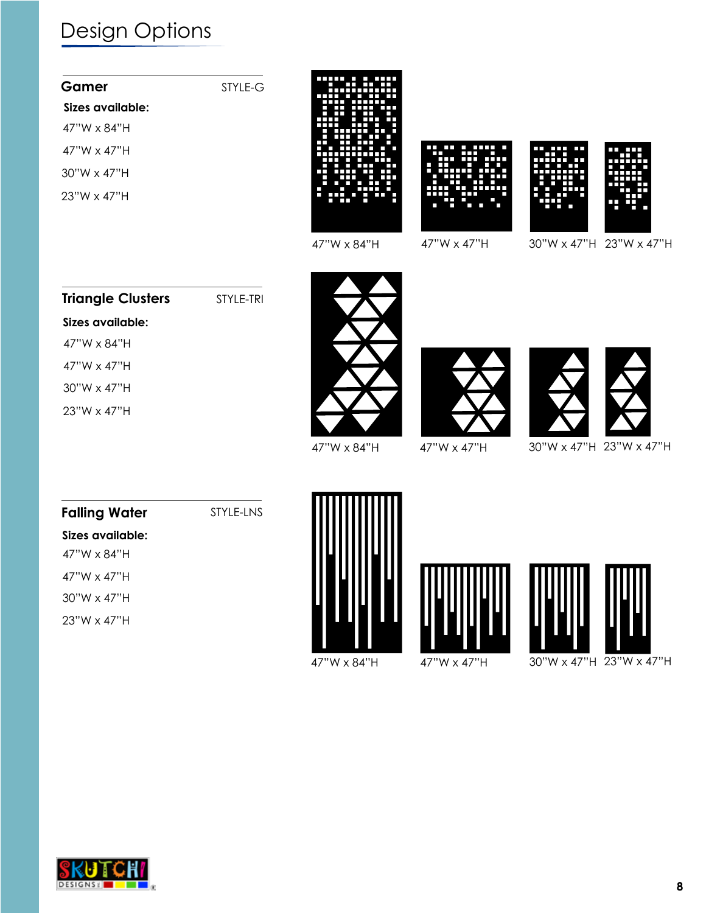| Gamer                | STYLE-G |  |
|----------------------|---------|--|
| Sizes available:     |         |  |
| $47''W \times 84''H$ |         |  |
| $47''W \times 47''H$ |         |  |
| $30"W \times 47"H$   |         |  |
| $23"W \times 47"H$   |         |  |
|                      |         |  |







47"W x 84"H 47"W x 47"H 30"W x 47"H 23"W x 47"H

#### **Triangle Clusters** STYLE-TRI

#### **Sizes available:**

47"W x 84"H

47"W x 47"H

30"W x 47"H

23"W x 47"H







47"W x 84"H 47"W x 47"H 30"W x 47"H 23"W x 47"H

### **Falling Water**

STYLE-LNS









47"W x 84"H 47"W x 47"H 30"W x 47"H 23"W x 47"H

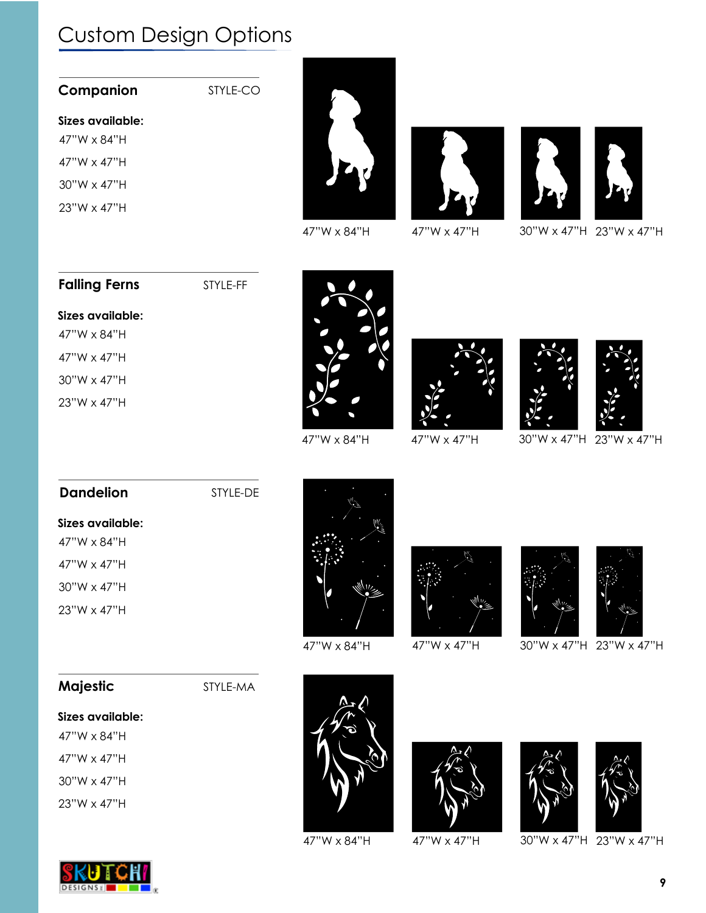## Custom Design Options

| Companion |  |
|-----------|--|
|-----------|--|

STYLE-CO

#### **Sizes available:**

47"W x 84"H 47"W x 47"H 30"W x 47"H

23"W x 47"H







47"W x 84"H 47"W x 47"H 30"W x 47"H 23"W x 47"H

#### **Falling Ferns**

STYLE-FF

#### **Sizes available:**

47"W x 84"H 47"W x 47"H

30"W x 47"H

23"W x 47"H







47"W x 84"H 47"W x 47"H 30"W x 47"H 23"W x 47"H

### **Sizes available:** STYLE-DE 47"W x 84"H 47"W x 47"H 30"W x 47"H 23"W x 47"H **Dandelion**









47"W x 84"H 47"W x 47"H 30"W x 47"H 23"W x 47"H

### **Majestic**

STYLE-MA

**Sizes available:**

47"W x 84"H 47"W x 47"H

30"W x 47"H

23"W x 47"H







47"W x 84"H 47"W x 47"H 30"W x 47"H 23"W x 47"H

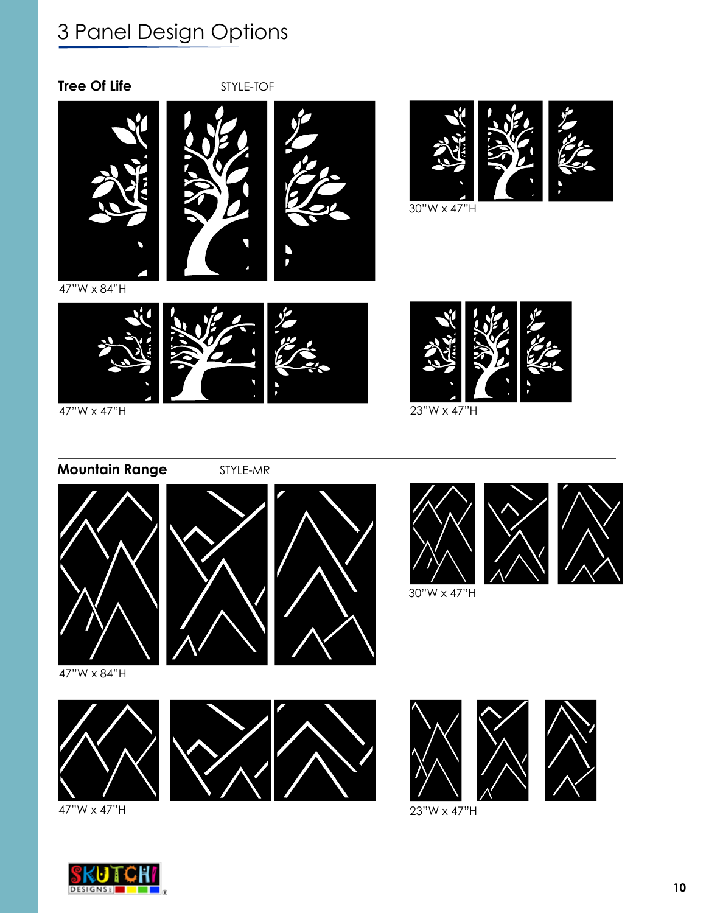

47"W x 84"H



30"W x 47"H

47"W x 47"H



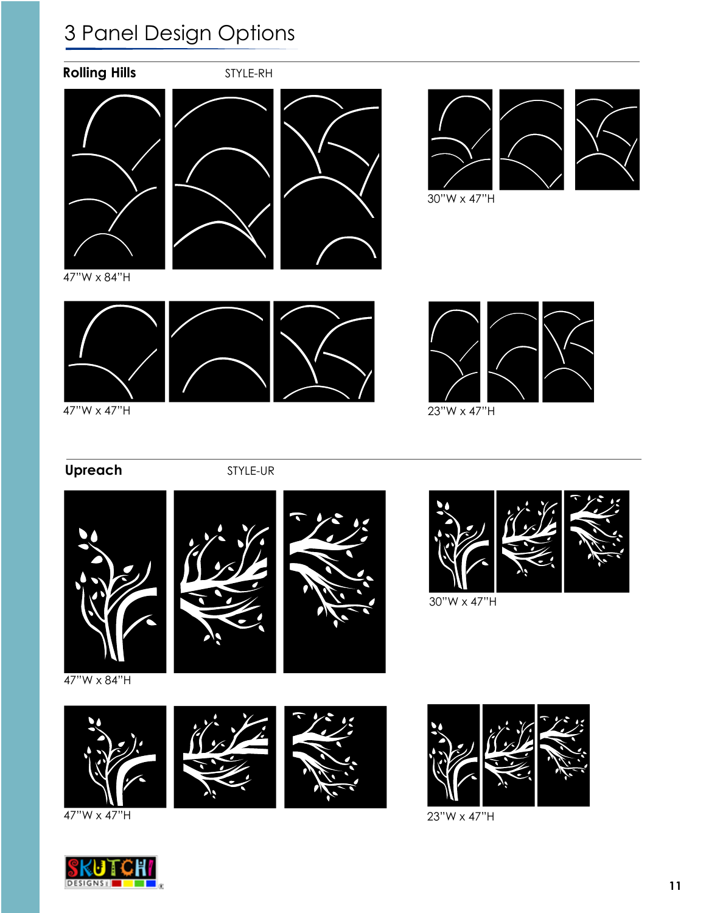

### **Upreach** STYLE-UR







47"W x 84"H



47"W x 47"H





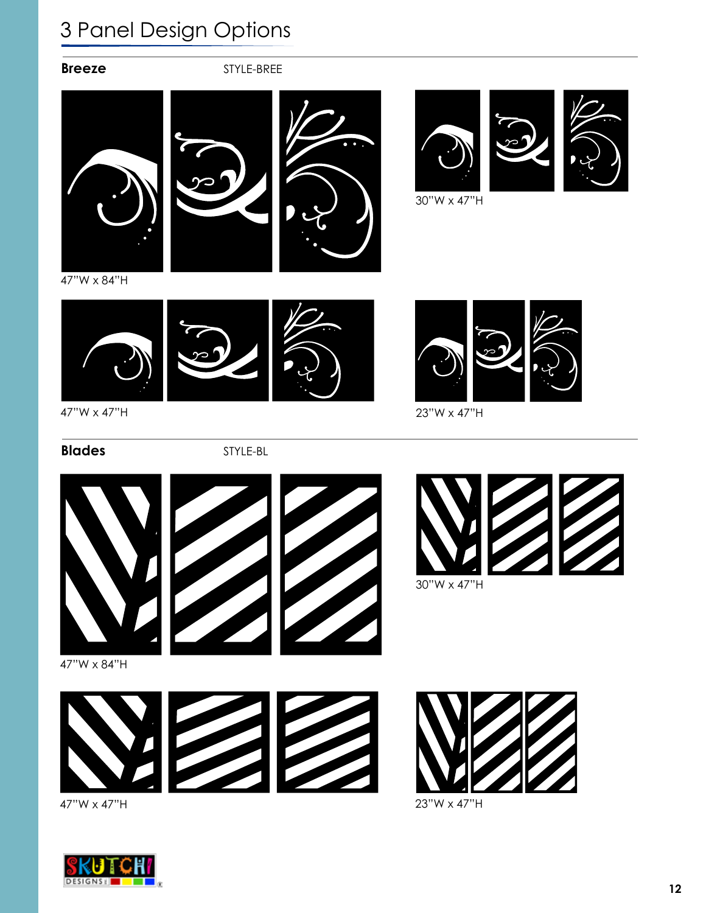**Breeze** STYLE-BREE





30"W x 47"H



47"W x 84"H







**Blades** STYLE-BL

47"W x 47"H











47"W x 84"H





47"W x 47"H



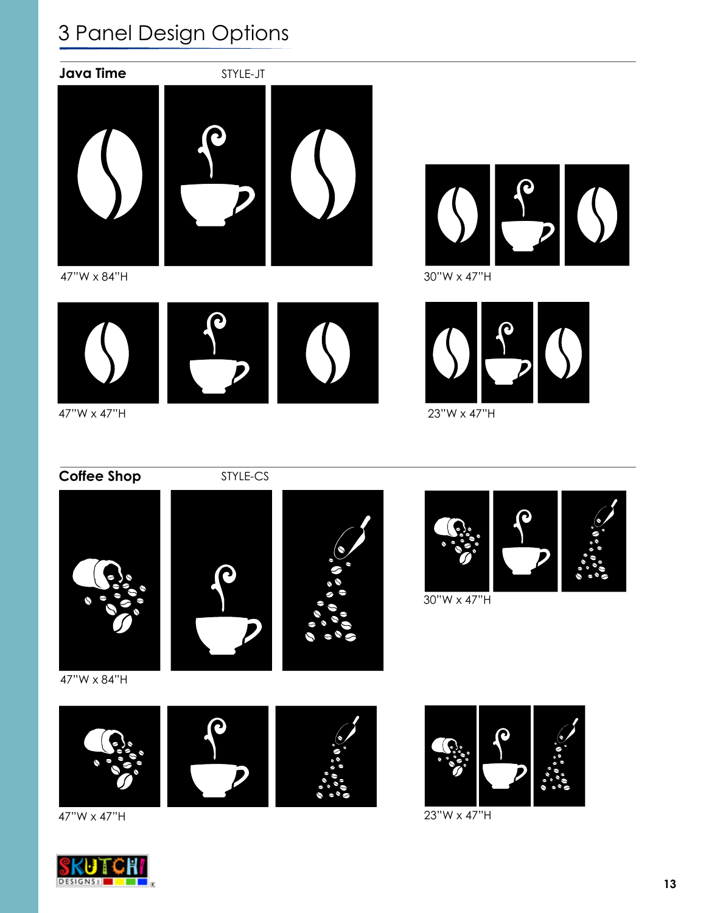

47"W x 84"H







47"W x 47"H



23"W x 47"H

**Coffee Shop** STYLE-CS







30"W x 47"H





47"W x 47"H



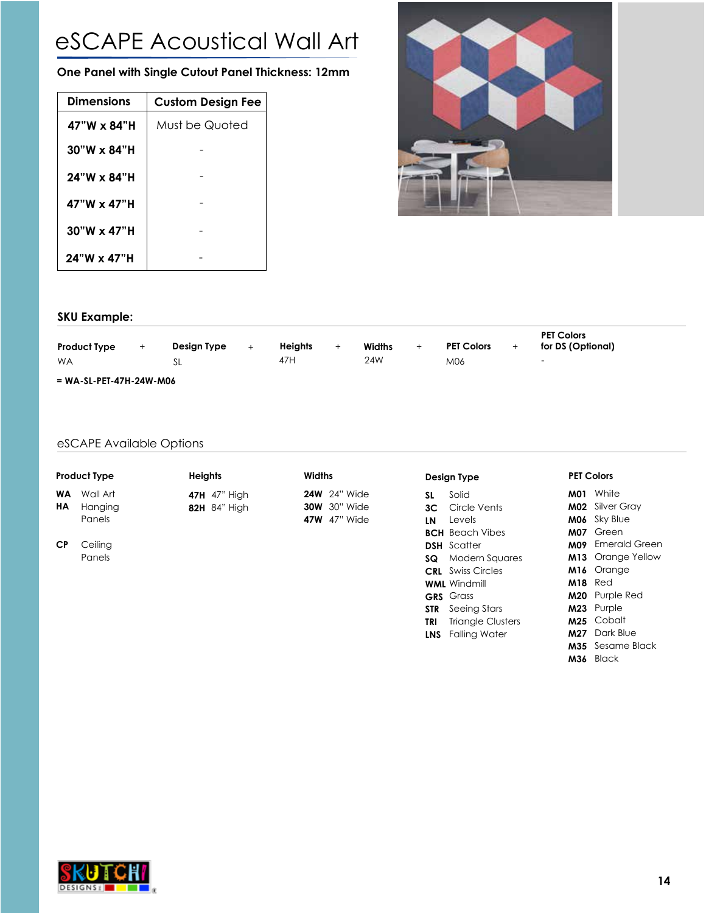# eSCAPE Acoustical Wall Art

**One Panel with Single Cutout Panel Thickness: 12mm**

| <b>Dimensions</b>  | <b>Custom Design Fee</b> |
|--------------------|--------------------------|
| $47"W \times 84"H$ | Must be Quoted           |
| $30"W \times 84"H$ |                          |
| $24"W \times 84"H$ |                          |
| 47"W x 47"H        |                          |
| $30"W \times 47"H$ |                          |
| $24"W \times 47"H$ |                          |



#### **SKU Example:**

| <b>Product Type</b>       | $\pm$ | Design Type | ÷ | <b>Heiahts</b> | $\pm$ | Widths | <b>PET Colors</b> | <b>PET Colors</b><br>for DS (Optional) |  |
|---------------------------|-------|-------------|---|----------------|-------|--------|-------------------|----------------------------------------|--|
| <b>WA</b>                 |       |             |   | 47H            |       | 24W    | M06               | $\overline{\phantom{0}}$               |  |
| $= WA-SL-PET-47H-24W-MO6$ |       |             |   |                |       |        |                   |                                        |  |

#### eSCAPE Available Options

| <b>Product Type</b> | <b>Heights</b>      | <b>Widths</b>       | Design Type            | <b>PET Colors</b> |
|---------------------|---------------------|---------------------|------------------------|-------------------|
| <b>WA</b> Wall Art  | <b>47H</b> 47" High | <b>24W</b> 24" Wide | Solid                  | M01 Whit          |
| <b>HA</b> Hanging   | 82H 84" High        | <b>30W</b> 30" Wide | <b>3C</b> Circle Vents | M02 Silve         |

Panels

### **47H** 47" High **82H** 84" High

Ceiling Panels **CP**

**24W** 24" Wide **30W** 30" Wide **47W** 47" Wide

| SL – | Solid                        |
|------|------------------------------|
|      | 3C Circle Vents              |
| LΝ   | <b>Levels</b>                |
|      | <b>BCH</b> Beach Vibes       |
|      | <b>DSH</b> Scatter           |
|      | <b>SQ</b> Modern Squares     |
|      | <b>CRL</b> Swiss Circles     |
|      | <b>WML</b> Windmill          |
|      | <b>GRS</b> Grass             |
|      | <b>STR</b> Seeing Stars      |
|      | <b>TRI</b> Triangle Clusters |

**LNS** Falling Water

| M01        | White         |
|------------|---------------|
| M02        | Silver Gray   |
| M06        | Sky Blue      |
| M07        | Green         |
| <b>M09</b> | Emerald Green |
| M13        | Orange Yellow |
| M16        | Orange        |
| M18        | Red           |
| M20        | Purple Red    |
| M23        | Purple        |
| M25        | Cobalt        |
| M27        | Dark Blue     |
| M35        | Sesame Black  |

**M36** Black

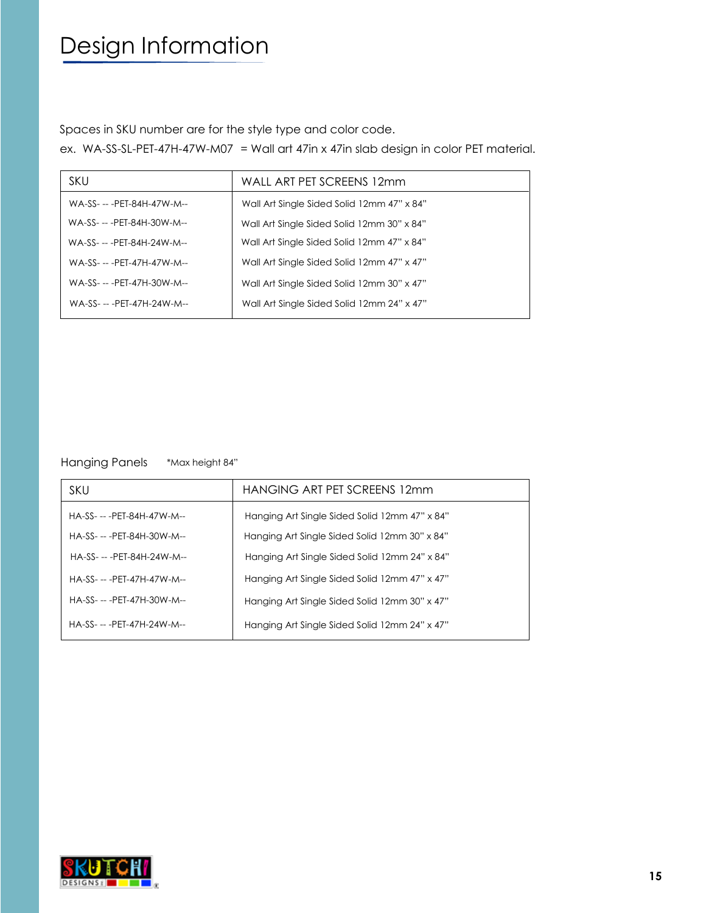# Design Information

Spaces in SKU number are for the style type and color code.

ex. WA-SS-SL-PET-47H-47W-M07 = Wall art 47in x 47in slab design in color PET material.

| <b>SKU</b>                  | WALL ART PET SCREENS 12mm                  |
|-----------------------------|--------------------------------------------|
| WA-SS- -- - PET-84H-47W-M-- | Wall Art Single Sided Solid 12mm 47" x 84" |
| WA-SS- -- - PET-84H-30W-M-- | Wall Art Single Sided Solid 12mm 30" x 84" |
| WA-SS- -- - PET-84H-24W-M-- | Wall Art Single Sided Solid 12mm 47" x 84" |
| WA-SS- -- - PET-47H-47W-M-- | Wall Art Single Sided Solid 12mm 47" x 47" |
| WA-SS- -- - PET-47H-30W-M-- | Wall Art Single Sided Solid 12mm 30" x 47" |
| WA-SS- -- - PET-47H-24W-M-- | Wall Art Single Sided Solid 12mm 24" x 47" |

Hanging Panels \*Max height 84"

| <b>SKU</b>                  | HANGING ART PET SCREENS 12mm                  |
|-----------------------------|-----------------------------------------------|
| HA-SS- -- - PET-84H-47W-M-- | Hanging Art Single Sided Solid 12mm 47" x 84" |
| HA-SS- -- - PET-84H-30W-M-- | Hanging Art Single Sided Solid 12mm 30" x 84" |
| HA-SS- -- - PET-84H-24W-M-- | Hanging Art Single Sided Solid 12mm 24" x 84" |
| HA-SS- -- - PFT-47H-47W-M-- | Hanging Art Single Sided Solid 12mm 47" x 47" |
| HA-SS- -- - PET-47H-30W-M-- | Hanging Art Single Sided Solid 12mm 30" x 47" |
| HA-SS- -- - PET-47H-24W-M-- | Hanging Art Single Sided Solid 12mm 24" x 47" |

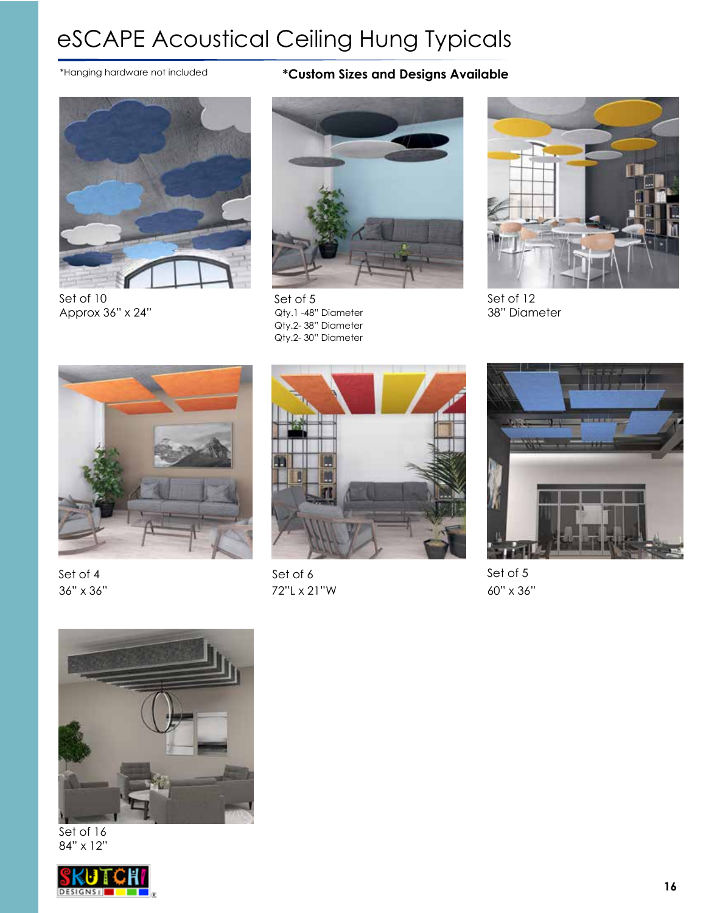# eSCAPE Acoustical Ceiling Hung Typicals



Set of 10 Approx 36" x 24"

### \*Hanging hardware not included **\*Custom Sizes and Designs Available**



Set of 5 Qty.1 -48" Diameter Qty.2- 38" Diameter Qty.2- 30" Diameter



Set of 12 38" Diameter



Set of 4 36" x 36"



Set of 6 72"L x 21"W



Set of 5 60" x 36"



Set of 16 84" x 12"

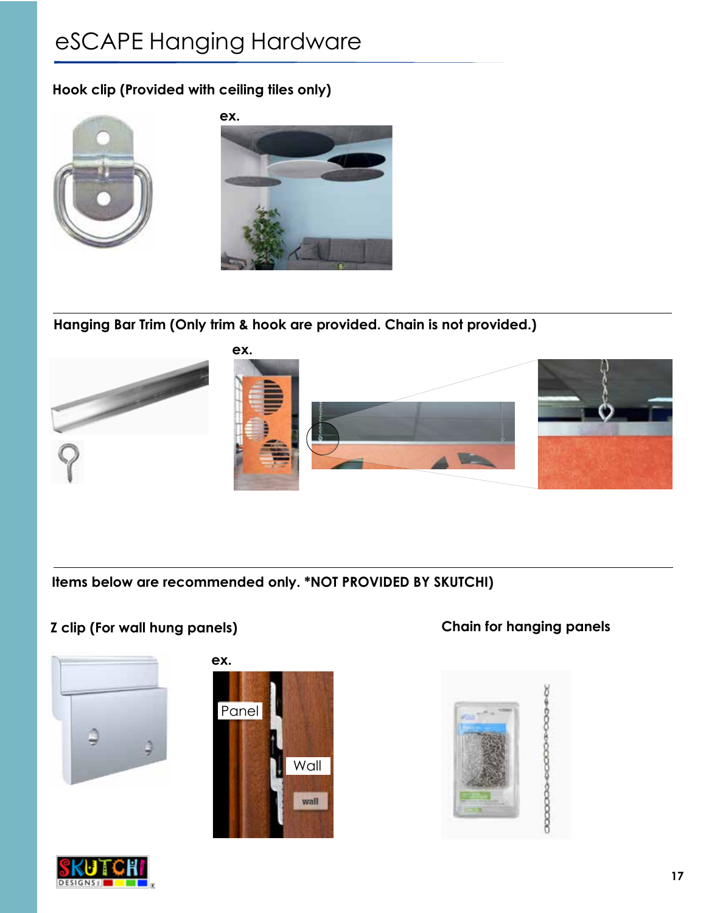# eSCAPE Hanging Hardware

**Hook clip (Provided with ceiling tiles only)**



**Hanging Bar Trim (Only trim & hook are provided. Chain is not provided.)**



**Items below are recommended only. \*NOT PROVIDED BY SKUTCHI)**

### **Z clip (For wall hung panels) Chain for hanging panels**







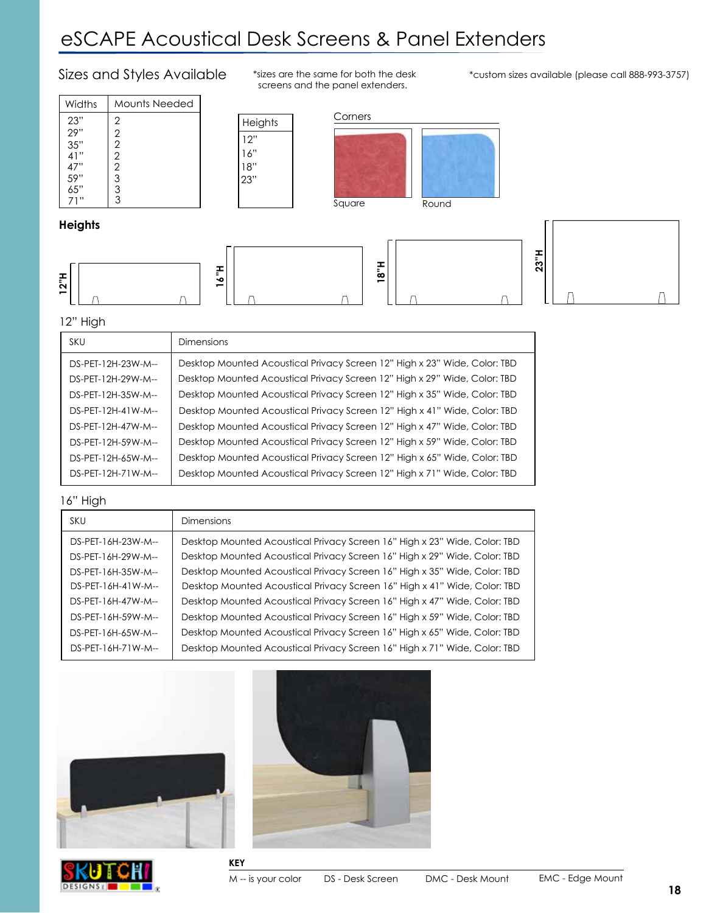## eSCAPE Acoustical Desk Screens & Panel Extenders

#### Sizes and Styles Available

| Widths | Mounts Needed  |  |
|--------|----------------|--|
| 23"    | 2              |  |
| 29"    | 2              |  |
| 35"    | $\overline{2}$ |  |
| 41"    | 2              |  |
| 47"    | $\overline{2}$ |  |
| 59"    | 3              |  |
| 65"    | 3              |  |
|        | 3              |  |

\*sizes are the same for both the desk screens and the panel extenders.

\*custom sizes available (please call 888-993-3757)



**18"H**



**16"H**

16" 12"

18"

23"

#### **Heights**







 $\bigcap$ 

#### 12" High

| <b>SKU</b>                               | <b>Dimensions</b>                                                                                                                                      |
|------------------------------------------|--------------------------------------------------------------------------------------------------------------------------------------------------------|
| DS-PET-12H-23W-M--                       | Desktop Mounted Acoustical Privacy Screen 12" High x 23" Wide, Color: TBD                                                                              |
| DS-PET-12H-29W-M--<br>DS-PET-12H-35W-M-- | Desktop Mounted Acoustical Privacy Screen 12" High x 29" Wide, Color: TBD<br>Desktop Mounted Acoustical Privacy Screen 12" High x 35" Wide, Color: TBD |
| DS-PET-12H-41W-M--                       | Desktop Mounted Acoustical Privacy Screen 12" High x 41" Wide, Color: TBD                                                                              |
| DS-PFT-12H-47W-M--                       | Desktop Mounted Acoustical Privacy Screen 12" High x 47" Wide, Color: TBD                                                                              |
| DS-PET-12H-59W-M--                       | Desktop Mounted Acoustical Privacy Screen 12" High x 59" Wide, Color: TBD                                                                              |
| DS-PET-12H-65W-M--                       | Desktop Mounted Acoustical Privacy Screen 12" High x 65" Wide, Color: TBD                                                                              |
| DS-PET-12H-71W-M--                       | Desktop Mounted Acoustical Privacy Screen 12" High x 71" Wide, Color: TBD                                                                              |

#### 16" High

| <b>SKU</b>          | <b>Dimensions</b>                                                         |
|---------------------|---------------------------------------------------------------------------|
| DS-PET-16H-23W-M--  | Desktop Mounted Acoustical Privacy Screen 16" High x 23" Wide, Color: TBD |
| DS-PET-16H-29W-M--  | Desktop Mounted Acoustical Privacy Screen 16" High x 29" Wide, Color: TBD |
| DS-PET-16H-35W-M--  | Desktop Mounted Acoustical Privacy Screen 16" High x 35" Wide, Color: TBD |
| $DS-PET-16H-41W-M-$ | Desktop Mounted Acoustical Privacy Screen 16" High x 41" Wide, Color: TBD |
| DS-PET-16H-47W-M--  | Desktop Mounted Acoustical Privacy Screen 16" High x 47" Wide, Color: TBD |
| DS-PET-16H-59W-M--  | Desktop Mounted Acoustical Privacy Screen 16" High x 59" Wide, Color: TBD |
| DS-PET-16H-65W-M--  | Desktop Mounted Acoustical Privacy Screen 16" High x 65" Wide, Color: TBD |
| DS-PET-16H-71W-M--  | Desktop Mounted Acoustical Privacy Screen 16" High x 71" Wide, Color: TBD |







**KEY**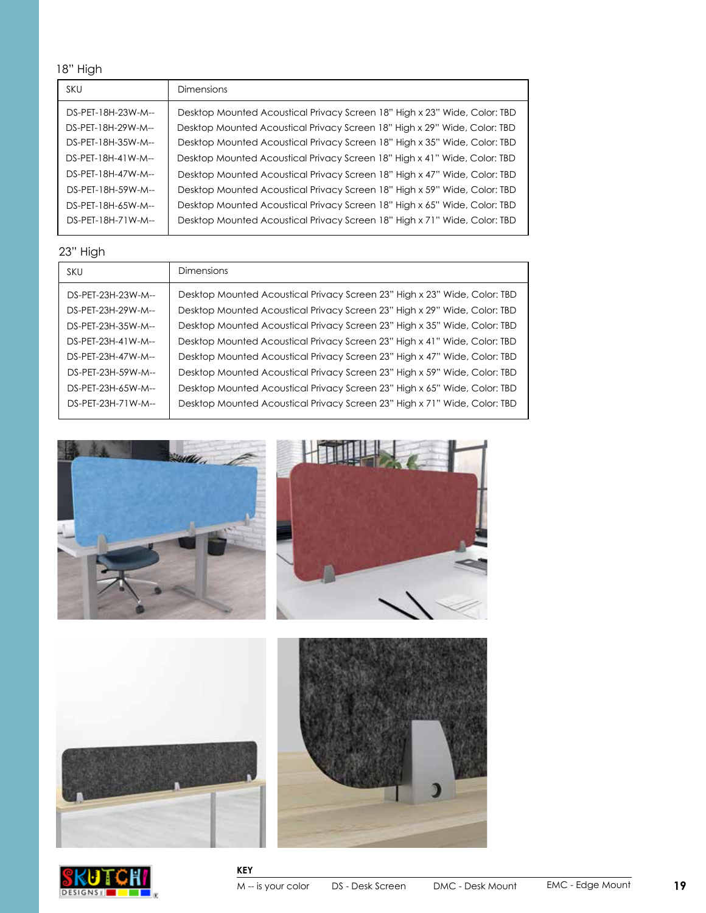18" High

| SKU                 | <b>Dimensions</b>                                                         |
|---------------------|---------------------------------------------------------------------------|
| DS-PET-18H-23W-M--  | Desktop Mounted Acoustical Privacy Screen 18" High x 23" Wide, Color: TBD |
| DS-PET-18H-29W-M--  | Desktop Mounted Acoustical Privacy Screen 18" High x 29" Wide, Color: TBD |
| DS-PET-18H-35W-M--  | Desktop Mounted Acoustical Privacy Screen 18" High x 35" Wide, Color: TBD |
| $DS-PFT-18H-41W-M-$ | Desktop Mounted Acoustical Privacy Screen 18" High x 41" Wide, Color: TBD |
| DS-PFT-18H-47W-M--  | Desktop Mounted Acoustical Privacy Screen 18" High x 47" Wide, Color: TBD |
| DS-PET-18H-59W-M--  | Desktop Mounted Acoustical Privacy Screen 18" High x 59" Wide, Color: TBD |
| DS-PET-18H-65W-M--  | Desktop Mounted Acoustical Privacy Screen 18" High x 65" Wide, Color: TBD |
| DS-PET-18H-71W-M--  | Desktop Mounted Acoustical Privacy Screen 18" High x 71" Wide, Color: TBD |

#### 23" High

| <b>SKU</b>         | Dimensions                                                                |
|--------------------|---------------------------------------------------------------------------|
| DS-PET-23H-23W-M-- | Desktop Mounted Acoustical Privacy Screen 23" High x 23" Wide, Color: TBD |
| DS-PET-23H-29W-M-- | Desktop Mounted Acoustical Privacy Screen 23" High x 29" Wide, Color: TBD |
| DS-PET-23H-35W-M-- | Desktop Mounted Acoustical Privacy Screen 23" High x 35" Wide, Color: TBD |
| DS-PET-23H-41W-M-- | Desktop Mounted Acoustical Privacy Screen 23" High x 41" Wide, Color: TBD |
| DS-PET-23H-47W-M-- | Desktop Mounted Acoustical Privacy Screen 23" High x 47" Wide, Color: TBD |
| DS-PET-23H-59W-M-- | Desktop Mounted Acoustical Privacy Screen 23" High x 59" Wide, Color: TBD |
| DS-PET-23H-65W-M-- | Desktop Mounted Acoustical Privacy Screen 23" High x 65" Wide, Color: TBD |
| DS-PET-23H-71W-M-- | Desktop Mounted Acoustical Privacy Screen 23" High x 71" Wide, Color: TBD |









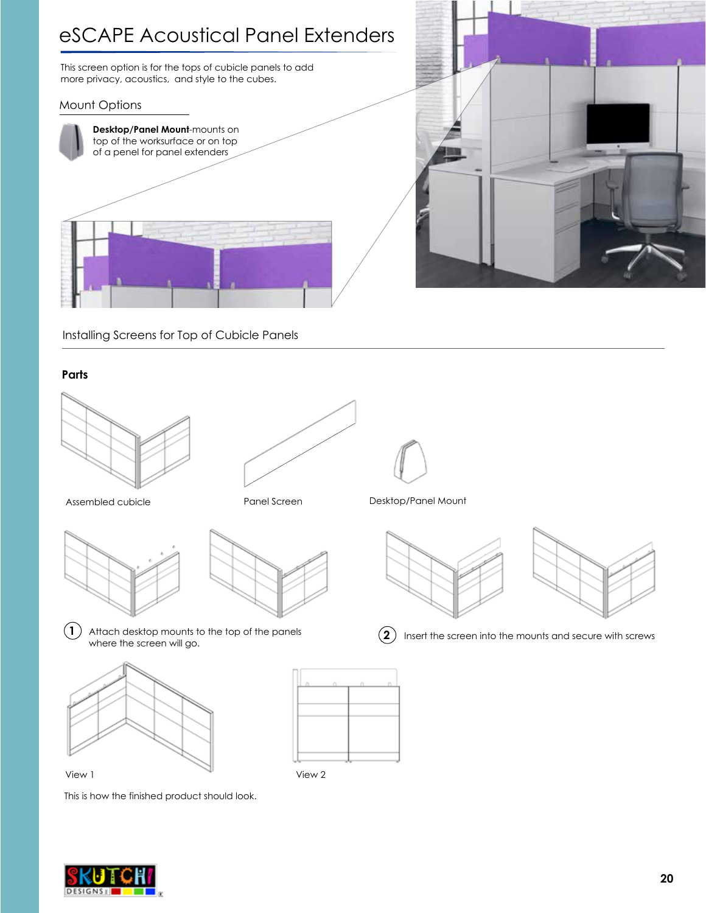### eSCAPE Acoustical Panel Extenders

This screen option is for the tops of cubicle panels to add more privacy, acoustics, and style to the cubes.

#### Mount Options





Installing Screens for Top of Cubicle Panels

#### **Parts**













**1** Attach desktop mounts to the top of the panels  $\overline{2}$ Attach desktop mounts to the top of the panels  $(2)$  Insert the screen into the mounts and secure with screws where the screen will go.





This is how the finished product should look.

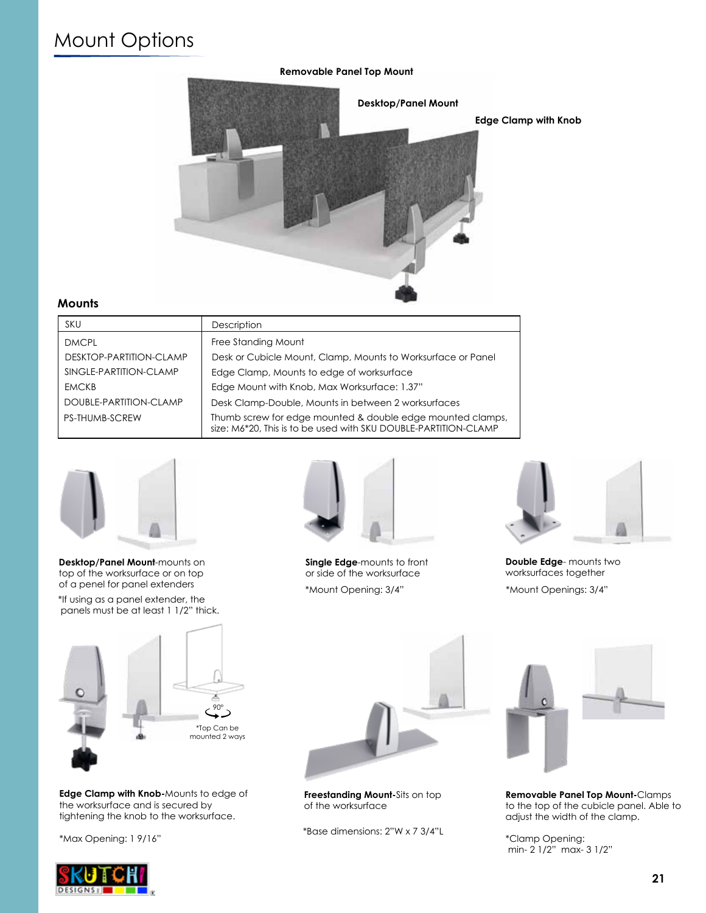### Mount Options



**Edge Clamp with Knob**



#### **Mounts**

| <b>SKU</b>              | Description                                                                                                                   |
|-------------------------|-------------------------------------------------------------------------------------------------------------------------------|
| <b>DMCPL</b>            | Free Standing Mount                                                                                                           |
| DESKTOP-PARTITION-CLAMP | Desk or Cubicle Mount, Clamp, Mounts to Worksurface or Panel                                                                  |
| SINGLE-PARTITION-CLAMP  | Edge Clamp, Mounts to edge of worksurface                                                                                     |
| <b>EMCKB</b>            | Edge Mount with Knob, Max Worksurface: 1.37"                                                                                  |
| DOUBLE-PARTITION-CLAMP  | Desk Clamp-Double, Mounts in between 2 worksurfaces                                                                           |
| <b>PS-THUMB-SCREW</b>   | Thumb screw for edge mounted & double edge mounted clamps,<br>size: M6*20, This is to be used with SKU DOUBLE-PARTITION-CLAMP |



**Desktop/Panel Mount**-mounts on top of the worksurface or on top of a penel for panel extenders

\*If using as a panel extender, the panels must be at least 1 1/2" thick.



**Edge Clamp with Knob-**Mounts to edge of the worksurface and is secured by tightening the knob to the worksurface.

\*Max Opening: 1 9/16"



**Single Edge**-mounts to front or side of the worksurface \*Mount Opening: 3/4" \*Mount Openings: 3/4"



**Double Edge**- mounts two worksurfaces together



**Freestanding Mount-**Sits on top of the worksurface

\*Base dimensions: 2"W x 7 3/4"L



**Removable Panel Top Mount-**Clamps to the top of the cubicle panel. Able to adjust the width of the clamp.

\*Clamp Opening: min- 2 1/2" max- 3 1/2"

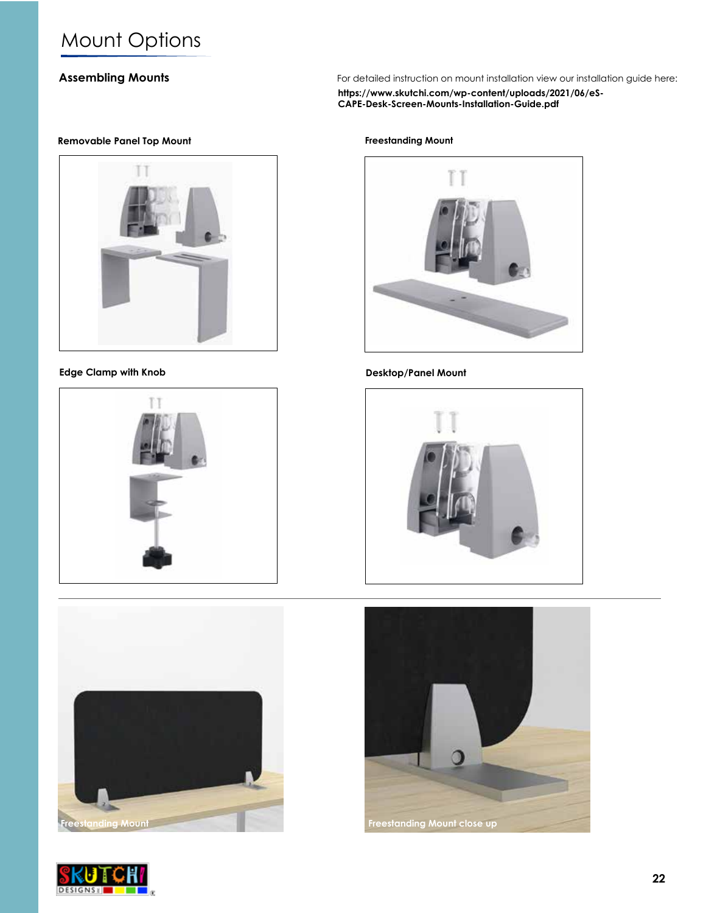## Mount Options

#### **Assembling Mounts**

For detailed instruction on mount installation view our installation guide here:

**https://www.skutchi.com/wp-content/uploads/2021/06/eS-CAPE-Desk-Screen-Mounts-Installation-Guide.pdf**

#### **Removable Panel Top Mount**



#### **Edge Clamp with Knob Desktop/Panel Mount**





**Freestanding Mount**







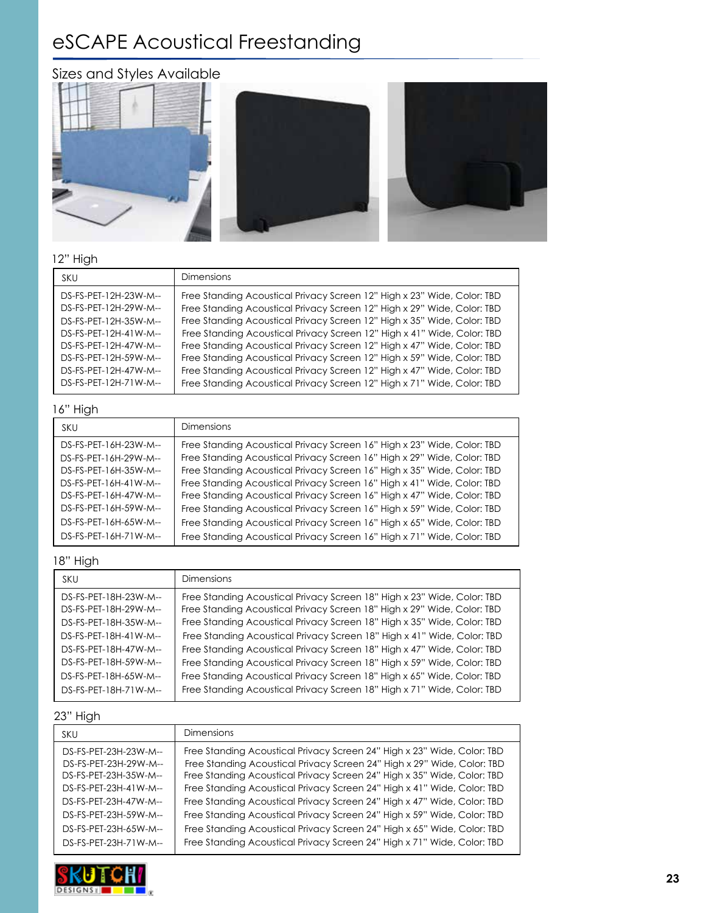# eSCAPE Acoustical Freestanding







#### 12" High

| <b>SKU</b>            | <b>Dimensions</b>                                                       |
|-----------------------|-------------------------------------------------------------------------|
| DS-FS-PET-12H-23W-M-- | Free Standing Acoustical Privacy Screen 12" High x 23" Wide, Color: TBD |
| DS-FS-PET-12H-29W-M-- | Free Standing Acoustical Privacy Screen 12" High x 29" Wide, Color: TBD |
| DS-FS-PET-12H-35W-M-- | Free Standing Acoustical Privacy Screen 12" High x 35" Wide, Color: TBD |
| DS-FS-PET-12H-41W-M-- | Free Standing Acoustical Privacy Screen 12" High x 41" Wide, Color: TBD |
| DS-FS-PET-12H-47W-M-- | Free Standing Acoustical Privacy Screen 12" High x 47" Wide, Color: TBD |
| DS-FS-PET-12H-59W-M-- | Free Standing Acoustical Privacy Screen 12" High x 59" Wide, Color: TBD |
| DS-FS-PET-12H-47W-M-- | Free Standing Acoustical Privacy Screen 12" High x 47" Wide, Color: TBD |
| DS-FS-PET-12H-71W-M-- | Free Standing Acoustical Privacy Screen 12" High x 71" Wide, Color: TBD |

#### 16" High

| SKU                                                                                                                                                | <b>Dimensions</b>                                                                                                                                                                                                                                                                                                                                                                                                                                              |
|----------------------------------------------------------------------------------------------------------------------------------------------------|----------------------------------------------------------------------------------------------------------------------------------------------------------------------------------------------------------------------------------------------------------------------------------------------------------------------------------------------------------------------------------------------------------------------------------------------------------------|
| DS-FS-PET-16H-23W-M--<br>DS-FS-PET-16H-29W-M--<br>DS-FS-PET-16H-35W-M--<br>DS-FS-PET-16H-41W-M--<br>DS-FS-PET-16H-47W-M--<br>DS-FS-PET-16H-59W-M-- | Free Standing Acoustical Privacy Screen 16" High x 23" Wide, Color: TBD<br>Free Standing Acoustical Privacy Screen 16" High x 29" Wide, Color: TBD<br>Free Standing Acoustical Privacy Screen 16" High x 35" Wide, Color: TBD<br>Free Standing Acoustical Privacy Screen 16" High x 41" Wide, Color: TBD<br>Free Standing Acoustical Privacy Screen 16" High x 47" Wide, Color: TBD<br>Free Standing Acoustical Privacy Screen 16" High x 59" Wide, Color: TBD |
| DS-FS-PET-16H-65W-M--<br>DS-FS-PET-16H-71W-M--                                                                                                     | Free Standing Acoustical Privacy Screen 16" High x 65" Wide, Color: TBD<br>Free Standing Acoustical Privacy Screen 16" High x 71" Wide, Color: TBD                                                                                                                                                                                                                                                                                                             |
|                                                                                                                                                    |                                                                                                                                                                                                                                                                                                                                                                                                                                                                |

#### 18" High

| <b>SKU</b>                                     | <b>Dimensions</b>                                                                                                                                  |
|------------------------------------------------|----------------------------------------------------------------------------------------------------------------------------------------------------|
| DS-FS-PET-18H-23W-M--                          | Free Standing Acoustical Privacy Screen 18" High x 23" Wide, Color: TBD<br>Free Standing Acoustical Privacy Screen 18" High x 29" Wide, Color: TBD |
| DS-FS-PET-18H-29W-M--<br>DS-FS-PET-18H-35W-M-- | Free Standing Acoustical Privacy Screen 18" High x 35" Wide, Color: TBD                                                                            |
| DS-FS-PET-18H-41W-M--                          | Free Standing Acoustical Privacy Screen 18" High x 41" Wide, Color: TBD                                                                            |
| DS-FS-PET-18H-47W-M--                          | Free Standing Acoustical Privacy Screen 18" High x 47" Wide, Color: TBD                                                                            |
| DS-FS-PET-18H-59W-M--                          | Free Standing Acoustical Privacy Screen 18" High x 59" Wide, Color: TBD                                                                            |
| DS-FS-PET-18H-65W-M--                          | Free Standing Acoustical Privacy Screen 18" High x 65" Wide, Color: TBD                                                                            |
| DS-FS-PET-18H-71W-M--                          | Free Standing Acoustical Privacy Screen 18" High x 71" Wide, Color: TBD                                                                            |

#### 23" High

| <b>SKU</b>                                                                                                                                         | <b>Dimensions</b>                                                                                                                                                                                                                                                                                                                                                                                                                                              |
|----------------------------------------------------------------------------------------------------------------------------------------------------|----------------------------------------------------------------------------------------------------------------------------------------------------------------------------------------------------------------------------------------------------------------------------------------------------------------------------------------------------------------------------------------------------------------------------------------------------------------|
| DS-FS-PET-23H-23W-M--<br>DS-FS-PET-23H-29W-M--<br>DS-FS-PET-23H-35W-M--<br>DS-FS-PET-23H-41W-M--<br>DS-FS-PET-23H-47W-M--<br>DS-FS-PET-23H-59W-M-- | Free Standing Acoustical Privacy Screen 24" High x 23" Wide, Color: TBD<br>Free Standing Acoustical Privacy Screen 24" High x 29" Wide, Color: TBD<br>Free Standing Acoustical Privacy Screen 24" High x 35" Wide, Color: TBD<br>Free Standing Acoustical Privacy Screen 24" High x 41" Wide, Color: TBD<br>Free Standing Acoustical Privacy Screen 24" High x 47" Wide, Color: TBD<br>Free Standing Acoustical Privacy Screen 24" High x 59" Wide, Color: TBD |
| DS-FS-PET-23H-65W-M--                                                                                                                              | Free Standing Acoustical Privacy Screen 24" High x 65" Wide, Color: TBD                                                                                                                                                                                                                                                                                                                                                                                        |
| DS-FS-PET-23H-71W-M--                                                                                                                              | Free Standing Acoustical Privacy Screen 24" High x 71" Wide, Color: TBD                                                                                                                                                                                                                                                                                                                                                                                        |

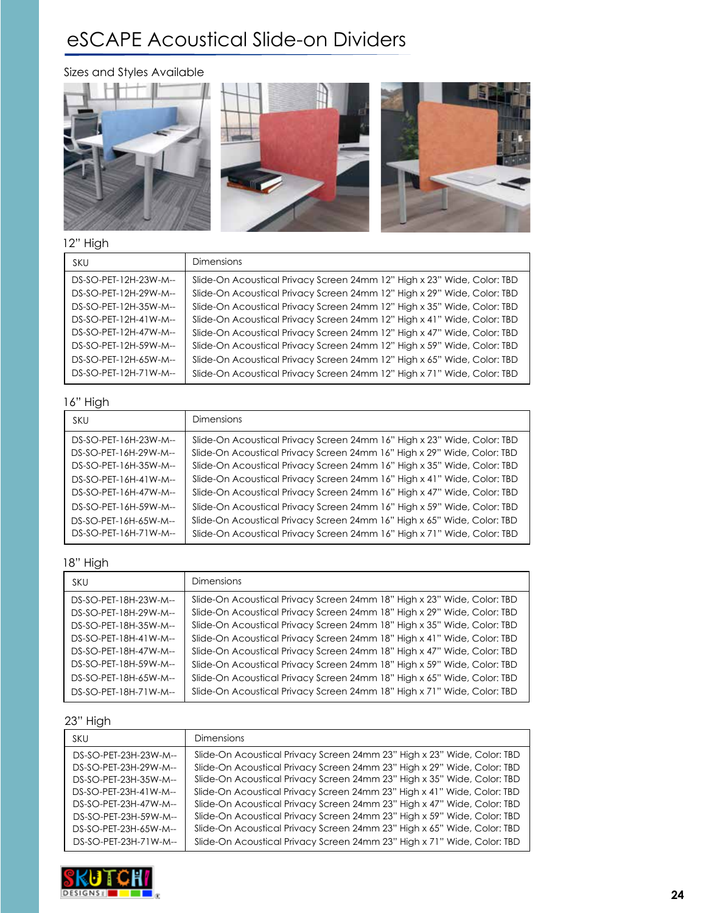## eSCAPE Acoustical Slide-on Dividers

Sizes and Styles Available



#### 12" High

| SKU                   | <b>Dimensions</b>                                                       |
|-----------------------|-------------------------------------------------------------------------|
| DS-SO-PET-12H-23W-M-- | Slide-On Acoustical Privacy Screen 24mm 12" High x 23" Wide, Color: TBD |
| DS-SO-PET-12H-29W-M-- | Slide-On Acoustical Privacy Screen 24mm 12" High x 29" Wide, Color: TBD |
| DS-SO-PET-12H-35W-M-- | Slide-On Acoustical Privacy Screen 24mm 12" High x 35" Wide, Color: TBD |
| DS-SO-PET-12H-41W-M-- | Slide-On Acoustical Privacy Screen 24mm 12" High x 41" Wide, Color: TBD |
| DS-SO-PET-12H-47W-M-- | Slide-On Acoustical Privacy Screen 24mm 12" High x 47" Wide, Color: TBD |
| DS-SO-PET-12H-59W-M-- | Slide-On Acoustical Privacy Screen 24mm 12" High x 59" Wide, Color: TBD |
| DS-SO-PET-12H-65W-M-- | Slide-On Acoustical Privacy Screen 24mm 12" High x 65" Wide, Color: TBD |
| DS-SO-PET-12H-71W-M-- | Slide-On Acoustical Privacy Screen 24mm 12" High x 71" Wide, Color: TBD |

#### 16" High

| SKU                                                                                                                                                                           | <b>Dimensions</b>                                                                                                                                                                                                                                                                                                                                                                                                                                                                                                                         |
|-------------------------------------------------------------------------------------------------------------------------------------------------------------------------------|-------------------------------------------------------------------------------------------------------------------------------------------------------------------------------------------------------------------------------------------------------------------------------------------------------------------------------------------------------------------------------------------------------------------------------------------------------------------------------------------------------------------------------------------|
| DS-SO-PET-16H-23W-M--<br>DS-SO-PET-16H-29W-M--<br>DS-SO-PET-16H-35W-M--<br>$DS-SO-PET-16H-41W-M-$<br>$DS-SO-PET-16H-47W-M-$<br>DS-SO-PET-16H-59W-M--<br>DS-SO-PET-16H-65W-M-- | Slide-On Acoustical Privacy Screen 24mm 16" High x 23" Wide, Color: TBD<br>Slide-On Acoustical Privacy Screen 24mm 16" High x 29" Wide, Color: TBD<br>Slide-On Acoustical Privacy Screen 24mm 16" High x 35" Wide, Color: TBD<br>Slide-On Acoustical Privacy Screen 24mm 16" High x 41" Wide, Color: TBD<br>Slide-On Acoustical Privacy Screen 24mm 16" High x 47" Wide, Color: TBD<br>Slide-On Acoustical Privacy Screen 24mm 16" High x 59" Wide, Color: TBD<br>Slide-On Acoustical Privacy Screen 24mm 16" High x 65" Wide, Color: TBD |
| DS-SO-PET-16H-71W-M--                                                                                                                                                         | Slide-On Acoustical Privacy Screen 24mm 16" High x 71" Wide, Color: TBD                                                                                                                                                                                                                                                                                                                                                                                                                                                                   |

#### 18" High

| <b>SKU</b>             | Dimensions                                                              |
|------------------------|-------------------------------------------------------------------------|
| DS-SO-PET-18H-23W-M--  | Slide-On Acoustical Privacy Screen 24mm 18" High x 23" Wide, Color: TBD |
| DS-SO-PET-18H-29W-M--  | Slide-On Acoustical Privacy Screen 24mm 18" High x 29" Wide, Color: TBD |
| DS-SO-PET-18H-35W-M--  | Slide-On Acoustical Privacy Screen 24mm 18" High x 35" Wide, Color: TBD |
| $DS-SO-PET-18H-41W-M-$ | Slide-On Acoustical Privacy Screen 24mm 18" High x 41" Wide, Color: TBD |
| DS-SO-PET-18H-47W-M--  | Slide-On Acoustical Privacy Screen 24mm 18" High x 47" Wide, Color: TBD |
| DS-SO-PET-18H-59W-M--  | Slide-On Acoustical Privacy Screen 24mm 18" High x 59" Wide, Color: TBD |
| DS-SO-PET-18H-65W-M--  | Slide-On Acoustical Privacy Screen 24mm 18" High x 65" Wide, Color: TBD |
| DS-SO-PET-18H-71W-M--  | Slide-On Acoustical Privacy Screen 24mm 18" High x 71" Wide, Color: TBD |

#### 23" High

| SKU                   | <b>Dimensions</b>                                                       |
|-----------------------|-------------------------------------------------------------------------|
| DS-SO-PET-23H-23W-M-- | Slide-On Acoustical Privacy Screen 24mm 23" High x 23" Wide, Color: TBD |
| DS-SO-PET-23H-29W-M-- | Slide-On Acoustical Privacy Screen 24mm 23" High x 29" Wide, Color: TBD |
| DS-SO-PET-23H-35W-M-- | Slide-On Acoustical Privacy Screen 24mm 23" High x 35" Wide, Color: TBD |
| DS-SO-PET-23H-41W-M-- | Slide-On Acoustical Privacy Screen 24mm 23" High x 41" Wide, Color: TBD |
| DS-SO-PET-23H-47W-M-- | Slide-On Acoustical Privacy Screen 24mm 23" High x 47" Wide, Color: TBD |
| DS-SO-PET-23H-59W-M-- | Slide-On Acoustical Privacy Screen 24mm 23" High x 59" Wide, Color: TBD |
| DS-SO-PET-23H-65W-M-- | Slide-On Acoustical Privacy Screen 24mm 23" High x 65" Wide, Color: TBD |
| DS-SO-PET-23H-71W-M-- | Slide-On Acoustical Privacy Screen 24mm 23" High x 71" Wide, Color: TBD |

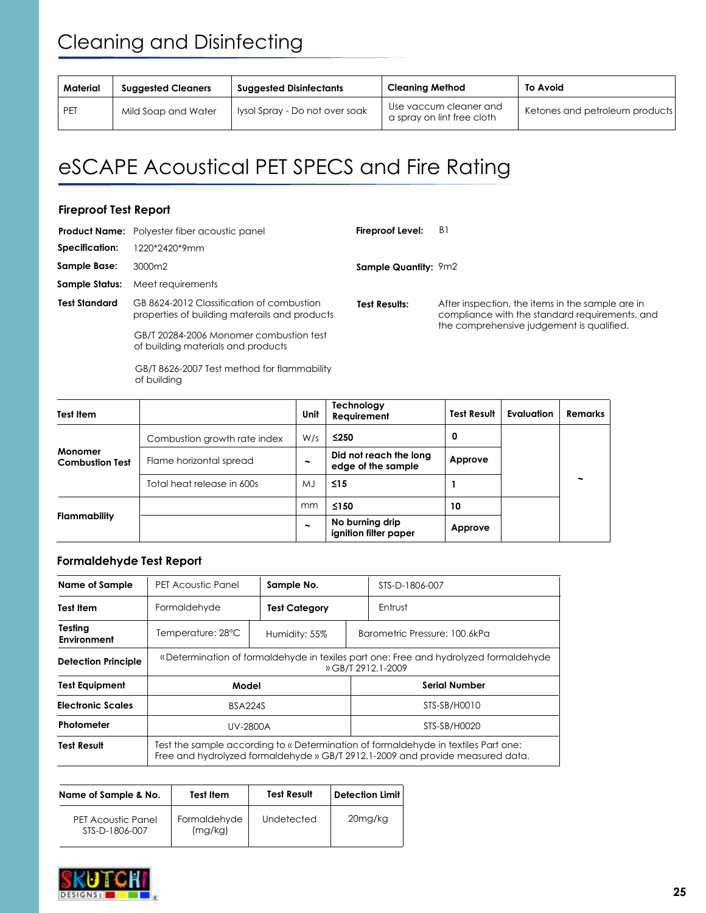| Material<br><b>Suggested Cleaners</b> |                     | <b>Cleaning Method</b><br><b>Suggested Disinfectants</b> |                                                      | <b>To Avoid</b>                |
|---------------------------------------|---------------------|----------------------------------------------------------|------------------------------------------------------|--------------------------------|
| <b>PET</b>                            | Mild Soap and Water | Iysol Spray - Do not over soak                           | Use vaccum cleaner and<br>a spray on lint free cloth | Ketones and petroleum products |

# eSCAPE Acoustical PET SPECS and Fire Rating

#### **Fireproof Test Report**

|                      | <b>Product Name:</b> Polyester fiber acoustic panel                                        | <b>Fireproof Level:</b>     | B1                                                                                                 |
|----------------------|--------------------------------------------------------------------------------------------|-----------------------------|----------------------------------------------------------------------------------------------------|
| Specification:       | 1220*2420*9mm                                                                              |                             |                                                                                                    |
| <b>Sample Base:</b>  | 3000m2                                                                                     | <b>Sample Quantity: 9m2</b> |                                                                                                    |
| Sample Status:       | Meet requirements                                                                          |                             |                                                                                                    |
| <b>Test Standard</b> | GB 8624-2012 Classification of combustion<br>properties of building materails and products | <b>Test Results:</b>        | After inspection, the items in the sample are in<br>compliance with the standard requirements, and |
|                      | GB/T 20284-2006 Monomer combustion test<br>of building materials and products              |                             | the comprehensive judgement is qualified.                                                          |
|                      | GB/T 8626-2007 Test method for flammability                                                |                             |                                                                                                    |

of building

**Monomer Combustion Test Flammability** Combustion growth rate index Flame horizontal spread Total heat release in 600s W/s MJ mm **Test Item Unit Technology Requirement ≤250 ~ ≤15 ≤150 ~ Test Result Evaluation Remarks ~ Did not reach the long edge of the sample No burning drip ignition filter paper 0 Approve Approve 1 10**

#### **Formaldehyde Test Report**

| Name of Sample                | PET Acoustic Panel                                                                                                                                                   | Sample No.           |  | STS-D-1806-007                |  |
|-------------------------------|----------------------------------------------------------------------------------------------------------------------------------------------------------------------|----------------------|--|-------------------------------|--|
| <b>Test Item</b>              | Formaldehyde                                                                                                                                                         | <b>Test Category</b> |  | Entrust                       |  |
| Testing<br><b>Environment</b> | Temperature: 28°C                                                                                                                                                    | Humidity: 55%        |  | Barometric Pressure: 100.6kPa |  |
| <b>Detection Principle</b>    | «Determination of formaldehyde in texiles part one: Free and hydrolyzed formaldehyde<br>» GB/T 2912.1-2009                                                           |                      |  |                               |  |
| <b>Test Equipment</b>         | Model                                                                                                                                                                |                      |  | <b>Serial Number</b>          |  |
| <b>Electronic Scales</b>      | <b>BSA224S</b>                                                                                                                                                       |                      |  | STS-SB/H0010                  |  |
| Photometer                    | UV-2800A                                                                                                                                                             |                      |  | STS-SB/H0020                  |  |
| <b>Test Result</b>            | Test the sample according to « Determination of formaldehyde in textiles Part one:<br>Free and hydrolyzed formaldehyde » GB/T 2912.1-2009 and provide measured data. |                      |  |                               |  |

| Name of Sample & No.                        | <b>Test Item</b>        | <b>Test Result</b> | Detection Limit |
|---------------------------------------------|-------------------------|--------------------|-----------------|
| <b>PET Acoustic Panel</b><br>STS-D-1806-007 | Formaldehyde<br>(mq/kg) | Undetected         | 20mg/kg         |

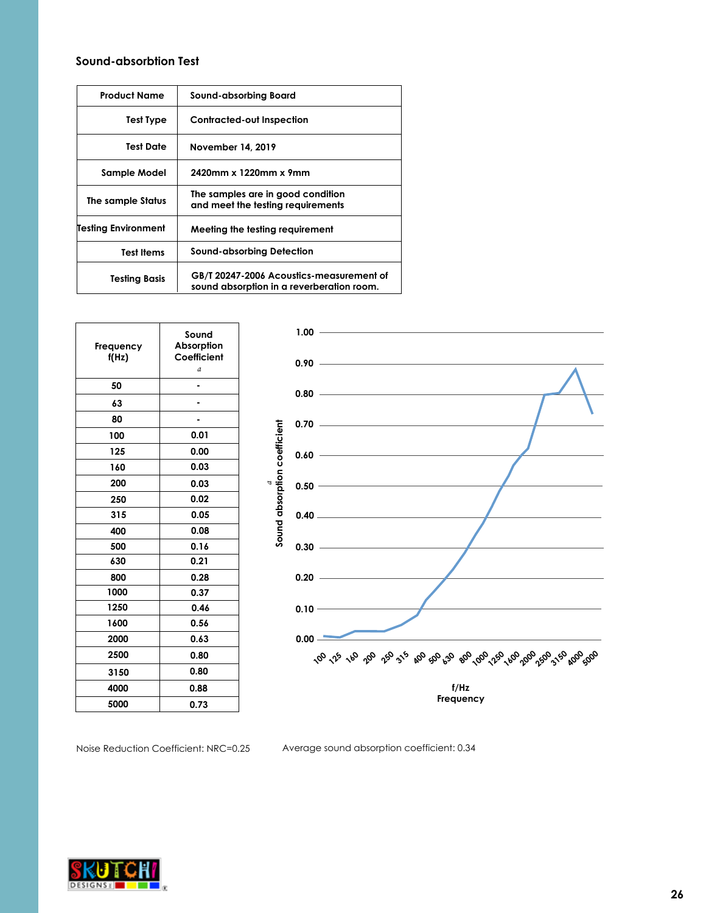#### **Sound-absorbtion Test**

| Product Name        | Sound-absorbing Board                                                                 |  |
|---------------------|---------------------------------------------------------------------------------------|--|
| Test Type           | <b>Contracted-out Inspection</b>                                                      |  |
| Test Date           | November 14, 2019                                                                     |  |
| Sample Model        | 2420mm x 1220mm x 9mm                                                                 |  |
| The sample Status   | The samples are in good condition<br>and meet the testing requirements                |  |
| Testing Environment | Meeting the testing requirement                                                       |  |
| <b>Test Items</b>   | Sound-absorbing Detection                                                             |  |
| Testing Basis       | GB/T 20247-2006 Acoustics-measurement of<br>sound absorption in a reverberation room. |  |

| Frequency<br>f(Hz) | Sound<br>Absorption<br>Coefficient<br>a |
|--------------------|-----------------------------------------|
| 50                 |                                         |
| 63                 |                                         |
| 80                 |                                         |
| 100                | 0.01                                    |
| 125                | 0.00                                    |
| 160                | 0.03                                    |
| 200                | 0.03                                    |
| 250                | 0.02                                    |
| 315                | 0.05                                    |
| 400                | 0.08                                    |
| 500                | 0.16                                    |
| 630                | 0.21                                    |
| 800                | 0.28                                    |
| 1000               | 0.37                                    |
| 1250               | 0.46                                    |
| 1600               | 0.56                                    |
| 2000               | 0.63                                    |
| 2500               | 0.80                                    |
| 3150               | 0.80                                    |
| 4000               | 0.88                                    |
| 5000               | 0.73                                    |



Noise Reduction Coefficient: NRC=0.25 Average sound absorption coefficient: 0.34

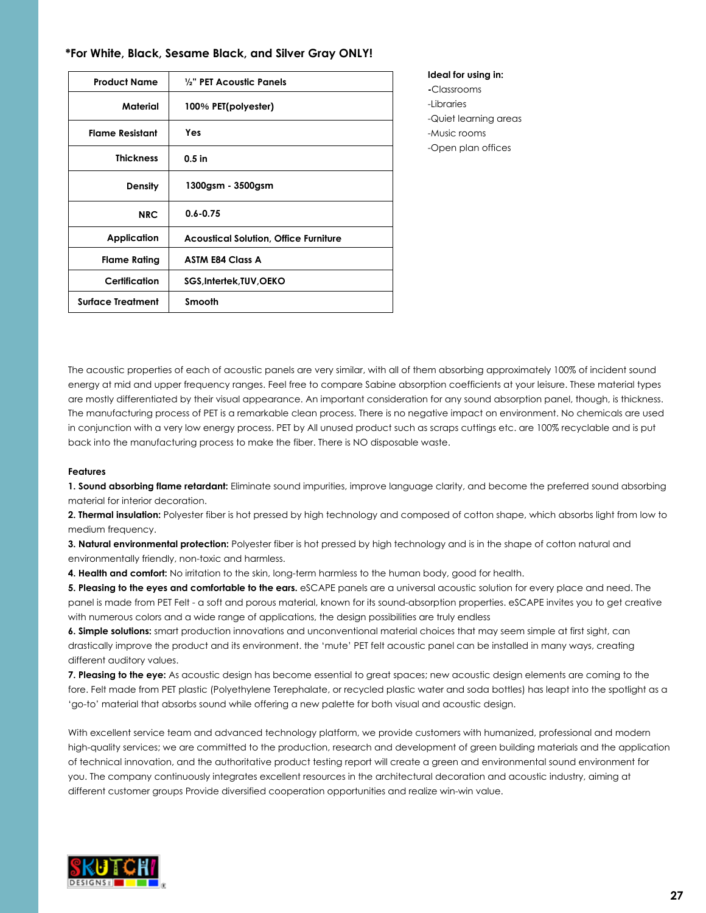| *For White, Black, Sesame Black, and Silver Gray ONLY! |  |  |  |
|--------------------------------------------------------|--|--|--|
|--------------------------------------------------------|--|--|--|

| <b>Product Name</b>      | 1/2" PET Acoustic Panels                     |
|--------------------------|----------------------------------------------|
| Material                 | 100% PET(polyester)                          |
| <b>Flame Resistant</b>   | <b>Yes</b>                                   |
| <b>Thickness</b>         | $0.5$ in                                     |
| Density                  | 1300gsm - 3500gsm                            |
| <b>NRC</b>               | $0.6 - 0.75$                                 |
| Application              | <b>Acoustical Solution, Office Furniture</b> |
| <b>Flame Rating</b>      | <b>ASTM E84 Class A</b>                      |
| Certification            | SGS, Intertek, TUV, OEKO                     |
| <b>Surface Treatment</b> | <b>Smooth</b>                                |

**Ideal for using in: -**Classrooms -Libraries -Quiet learning areas -Music rooms -Open plan offices

The acoustic properties of each of acoustic panels are very similar, with all of them absorbing approximately 100% of incident sound energy at mid and upper frequency ranges. Feel free to compare Sabine absorption coefficients at your leisure. These material types are mostly differentiated by their visual appearance. An important consideration for any sound absorption panel, though, is thickness. The manufacturing process of PET is a remarkable clean process. There is no negative impact on environment. No chemicals are used in conjunction with a very low energy process. PET by All unused product such as scraps cuttings etc. are 100% recyclable and is put back into the manufacturing process to make the fiber. There is NO disposable waste.

#### **Features**

**1. Sound absorbing flame retardant:** Eliminate sound impurities, improve language clarity, and become the preferred sound absorbing material for interior decoration.

**2. Thermal insulation:** Polyester fiber is hot pressed by high technology and composed of cotton shape, which absorbs light from low to medium frequency.

**3. Natural environmental protection:** Polyester fiber is hot pressed by high technology and is in the shape of cotton natural and environmentally friendly, non-toxic and harmless.

**4. Health and comfort:** No irritation to the skin, long-term harmless to the human body, good for health.

**5. Pleasing to the eyes and comfortable to the ears.** eSCAPE panels are a universal acoustic solution for every place and need. The panel is made from PET Felt - a soft and porous material, known for its sound-absorption properties. eSCAPE invites you to get creative with numerous colors and a wide range of applications, the design possibilities are truly endless

**6. Simple solutions:** smart production innovations and unconventional material choices that may seem simple at first sight, can drastically improve the product and its environment. the 'mute' PET felt acoustic panel can be installed in many ways, creating different auditory values.

**7. Pleasing to the eye:** As acoustic design has become essential to great spaces; new acoustic design elements are coming to the fore. Felt made from PET plastic (Polyethylene Terephalate, or recycled plastic water and soda bottles) has leapt into the spotlight as a 'go-to' material that absorbs sound while offering a new palette for both visual and acoustic design.

With excellent service team and advanced technology platform, we provide customers with humanized, professional and modern high-quality services; we are committed to the production, research and development of green building materials and the application of technical innovation, and the authoritative product testing report will create a green and environmental sound environment for you. The company continuously integrates excellent resources in the architectural decoration and acoustic industry, aiming at different customer groups Provide diversified cooperation opportunities and realize win-win value.